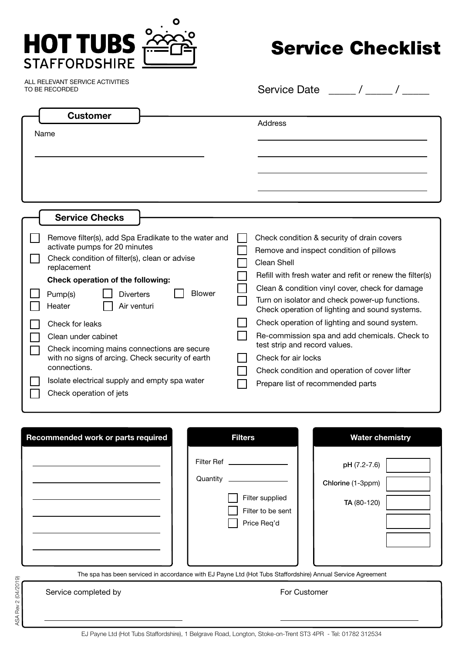

## Service Checklist

ALL RELEVANT SERVICE ACTIVITIES TO BE RECORDED

Service Date \_\_\_\_\_/\_

|      | <b>Customer</b>                                                                                                                                                                            |  |                                                                                                                                                                         |  |  |
|------|--------------------------------------------------------------------------------------------------------------------------------------------------------------------------------------------|--|-------------------------------------------------------------------------------------------------------------------------------------------------------------------------|--|--|
|      |                                                                                                                                                                                            |  | Address                                                                                                                                                                 |  |  |
| Name |                                                                                                                                                                                            |  |                                                                                                                                                                         |  |  |
|      |                                                                                                                                                                                            |  |                                                                                                                                                                         |  |  |
|      |                                                                                                                                                                                            |  |                                                                                                                                                                         |  |  |
|      |                                                                                                                                                                                            |  |                                                                                                                                                                         |  |  |
|      |                                                                                                                                                                                            |  |                                                                                                                                                                         |  |  |
|      |                                                                                                                                                                                            |  |                                                                                                                                                                         |  |  |
|      | <b>Service Checks</b>                                                                                                                                                                      |  |                                                                                                                                                                         |  |  |
|      | Remove filter(s), add Spa Eradikate to the water and<br>activate pumps for 20 minutes<br>Check condition of filter(s), clean or advise<br>replacement<br>Check operation of the following: |  | Check condition & security of drain covers<br>Remove and inspect condition of pillows<br><b>Clean Shell</b><br>Refill with fresh water and refit or renew the filter(s) |  |  |
|      | <b>Blower</b><br><b>Diverters</b><br>Pump(s)<br>Air venturi<br>Heater                                                                                                                      |  | Clean & condition vinyl cover, check for damage<br>Turn on isolator and check power-up functions.<br>Check operation of lighting and sound systems.                     |  |  |
|      | Check for leaks                                                                                                                                                                            |  | Check operation of lighting and sound system.                                                                                                                           |  |  |
|      | Clean under cabinet<br>Check incoming mains connections are secure<br>with no signs of arcing. Check security of earth                                                                     |  | Re-commission spa and add chemicals. Check to<br>test strip and record values.                                                                                          |  |  |
|      |                                                                                                                                                                                            |  | Check for air locks                                                                                                                                                     |  |  |
|      | connections.                                                                                                                                                                               |  | Check condition and operation of cover lifter                                                                                                                           |  |  |
|      | Isolate electrical supply and empty spa water                                                                                                                                              |  | Prepare list of recommended parts                                                                                                                                       |  |  |
|      | Check operation of jets                                                                                                                                                                    |  |                                                                                                                                                                         |  |  |

| Recommended work or parts required                                                                          | <b>Filters</b>                             |                   | <b>Water chemistry</b>                           |  |  |  |  |  |  |
|-------------------------------------------------------------------------------------------------------------|--------------------------------------------|-------------------|--------------------------------------------------|--|--|--|--|--|--|
|                                                                                                             | Quantity<br>Filter supplied<br>Price Req'd | Filter to be sent | pH (7.2-7.6)<br>Chlorine (1-3ppm)<br>TA (80-120) |  |  |  |  |  |  |
| The spa has been serviced in accordance with EJ Payne Ltd (Hot Tubs Staffordshire) Annual Service Agreement |                                            |                   |                                                  |  |  |  |  |  |  |
| Service completed by                                                                                        |                                            | For Customer      |                                                  |  |  |  |  |  |  |